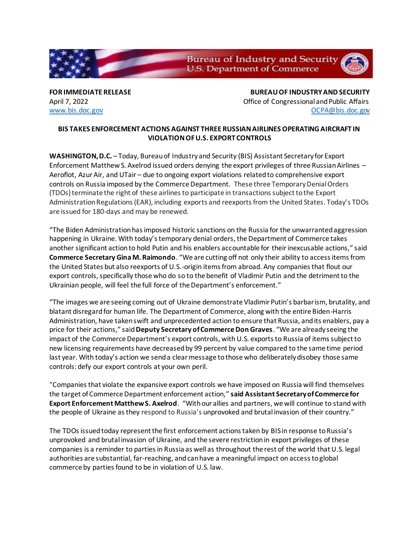**Bureau of Industry and Security U.S. Department of Commerce** 

**FOR IMMEDIATE RELEASE BUREAU OF INDUSTRY AND SECURITY** April 7, 2022 **April 7, 2022 Office of Congressional and Public Affairs** [www.bis.doc.gov](http://www.bis.doc.gov/) [OCPA@bis.doc.gov](mailto:OCPA@bis.doc.gov)

## **BIS TAKES ENFORCEMENT ACTIONS AGAINST THREE RUSSIAN AIRLINES OPERATING AIRCRAFT IN VIOLATION OF U.S. EXPORT CONTROLS**

**WASHINGTON, D.C.** – Today, Bureau of Industry and Security (BIS) Assistant Secretary for Export Enforcement Matthew S. Axelrod issued orders denying the export privileges of three Russian Airlines – Aeroflot, Azur Air, and UTair – due to ongoing export violations related to comprehensive export controls on Russia imposed by the Commerce Department. These three Temporary Denial Orders (TDOs) terminate the right of these airlines to participate in transactions subject to the Export Administration Regulations (EAR), including exports and reexports from the United States. Today's TDOs are issued for 180-days and may be renewed.

"The Biden Administration has imposed historic sanctions on the Russia for the unwarranted aggression happening in Ukraine. With today's temporary denial orders, the Department of Commerce takes another significant action to hold Putin and his enablers accountable for their inexcusable actions," said **Commerce Secretary Gina M. Raimondo**. "We are cutting off not only their ability to access items from the United States but also reexports of U.S.-origin items from abroad. Any companies that flout our export controls, specifically those who do so to the benefit of Vladimir Putin and the detriment to the Ukrainian people, will feel the full force of the Department's enforcement."

"The images we are seeing coming out of Ukraine demonstrate Vladimir Putin's barbarism, brutality, and blatant disregard for human life. The Department of Commerce, along with the entire Biden-Harris Administration, have taken swift and unprecedented action to ensure that Russia, and its enablers, pay a price for their actions," said **Deputy Secretary of Commerce Don Graves**. "We are already seeing the impact of the Commerce Department's export controls, with U.S. exports to Russia of items subject to new licensing requirements have decreased by 99 percent by value compared to the same time period last year. With today's action we send a clear message to those who deliberately disobey those same controls: defy our export controls at your own peril.

"Companies that violate the expansive export controls we have imposed on Russia will find themselves the target of Commerce Department enforcement action," **said Assistant Secretary of Commerce for Export Enforcement Matthew S. Axelrod**. "With our allies and partners, we will continue to stand with the people of Ukraine as they respond to Russia's unprovoked and brutal invasion of their country."

The TDOs issued today represent the first enforcement actions taken by BIS in response to Russia's unprovoked and brutal invasion of Ukraine, and the severe restriction in export privileges of these companies is a reminder to parties in Russia as well as throughout the rest of the world that U.S. legal authorities are substantial, far-reaching, and can have a meaningful impact on access to global commerce by parties found to be in violation of U.S. law.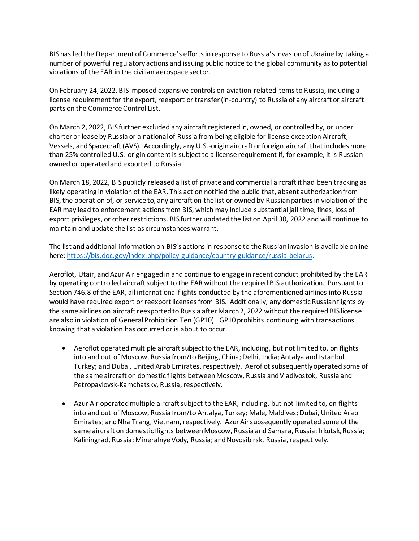BIS has led the Department of Commerce's efforts in response to Russia's invasion of Ukraine by taking a number of powerful regulatory actions and issuing public notice to the global community as to potential violations of the EAR in the civilian aerospace sector.

On February 24, 2022, BIS imposed expansive controls on aviation-related items to Russia, including a license requirement for the export, reexport or transfer (in-country) to Russia of any aircraft or aircraft parts on the Commerce Control List.

On March 2, 2022, BIS further excluded any aircraft registered in, owned, or controlled by, or under charter or lease by Russia or a national of Russia from being eligible for license exception Aircraft, Vessels, and Spacecraft (AVS). Accordingly, any U.S.-origin aircraft or foreign aircraft that includes more than 25% controlled U.S.-origin content is subject to a license requirement if, for example, it is Russianowned or operated and exported to Russia.

On March 18, 2022, BIS publicly released a list of private and commercial aircraft it had been tracking as likely operating in violation of the EAR. This action notified the public that, absent authorization from BIS, the operation of, or service to, any aircraft on the list or owned by Russian parties in violation of the EAR may lead to enforcement actions from BIS, which may include substantial jail time, fines, loss of export privileges, or other restrictions. BIS further updated the list on April 30, 2022 and will continue to maintain and update the list as circumstances warrant.

The list and additional information on BIS's actions in response to the Russian invasion is available online here: [https://bis.doc.gov/index.php/policy-guidance/country-guidance/russia-belarus.](https://bis.doc.gov/index.php/policy-guidance/country-guidance/russia-belarus)

Aeroflot, Utair, and Azur Air engaged in and continue to engage in recent conduct prohibited by the EAR by operating controlled aircraft subject to the EAR without the required BIS authorization. Pursuant to Section 746.8 of the EAR, all international flights conducted by the aforementioned airlines into Russia would have required export or reexport licenses from BIS. Additionally, any domestic Russian flights by the same airlines on aircraft reexported to Russia after March 2, 2022 without the required BIS license are also in violation of General Prohibition Ten (GP10). GP10 prohibits continuing with transactions knowing that a violation has occurred or is about to occur.

- Aeroflot operated multiple aircraft subject to the EAR, including, but not limited to, on flights into and out of Moscow, Russia from/to Beijing, China; Delhi, India; Antalya and Istanbul, Turkey; and Dubai, United Arab Emirates, respectively. Aeroflot subsequently operated some of the same aircraft on domestic flights between Moscow, Russia and Vladivostok, Russia and Petropavlovsk-Kamchatsky, Russia, respectively.
- Azur Air operated multiple aircraft subject to the EAR, including, but not limited to, on flights into and out of Moscow, Russia from/to Antalya, Turkey; Male, Maldives; Dubai, United Arab Emirates; and Nha Trang, Vietnam, respectively. Azur Air subsequently operated some of the same aircraft on domestic flights between Moscow, Russia and Samara, Russia; Irkutsk, Russia; Kaliningrad, Russia; Mineralnye Vody, Russia; and Novosibirsk, Russia, respectively.